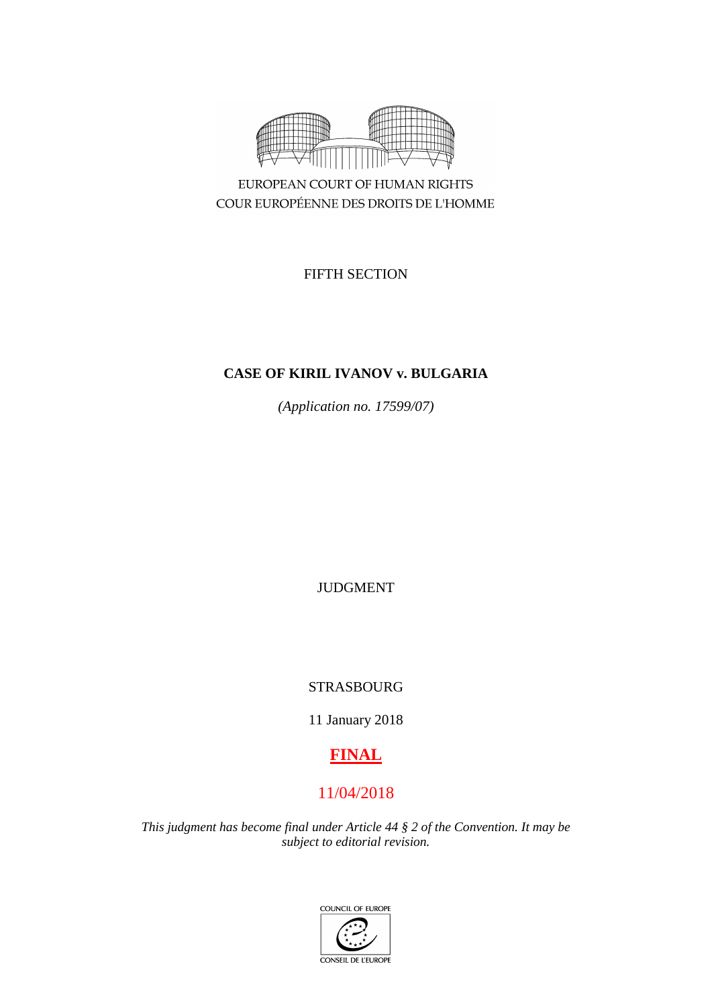

COUR EUROPÉENNE DES DROITS DE L'HOMME

FIFTH SECTION

# **CASE OF KIRIL IVANOV v. BULGARIA**

*(Application no. 17599/07)*

JUDGMENT

STRASBOURG

11 January 2018

# **FINAL**

# 11/04/2018

*This judgment has become final under Article 44 § 2 of the Convention. It may be subject to editorial revision.*

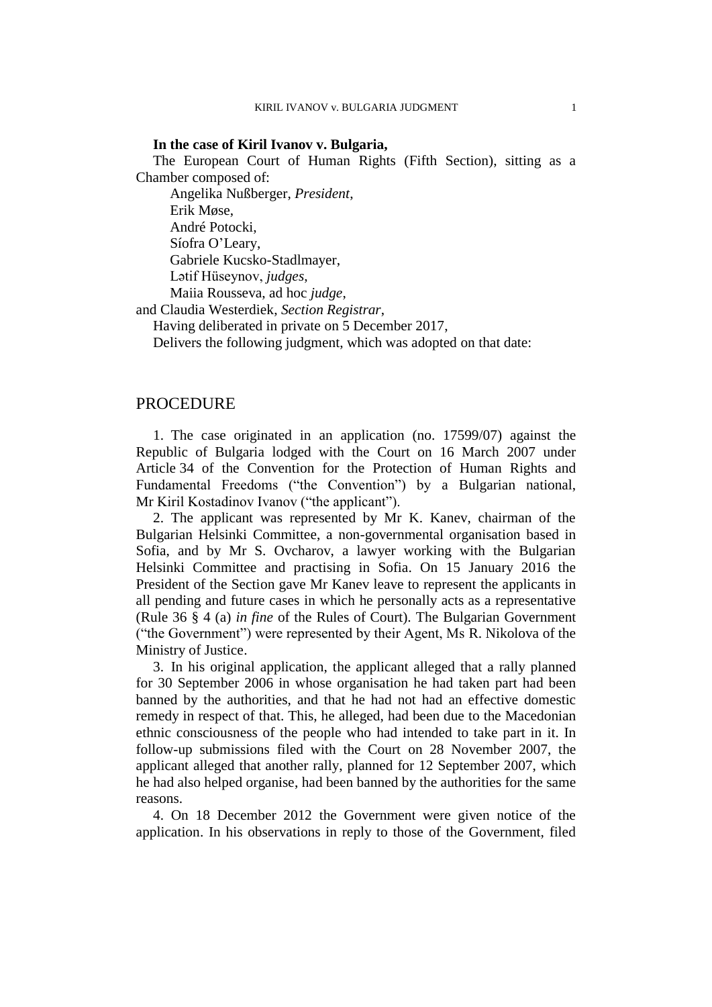## **In the case of Kiril Ivanov v. Bulgaria,**

The European Court of Human Rights (Fifth Section), sitting as a Chamber composed of:

Angelika Nußberger, *President*, Erik Møse, André Potocki, Síofra O'Leary, Gabriele Kucsko-Stadlmayer, Lәtif Hüseynov, *judges*, Maiia Rousseva, ad hoc *judge*,

and Claudia Westerdiek, *Section Registrar*,

Having deliberated in private on 5 December 2017,

Delivers the following judgment, which was adopted on that date:

# PROCEDURE

1. The case originated in an application (no. 17599/07) against the Republic of Bulgaria lodged with the Court on 16 March 2007 under Article 34 of the Convention for the Protection of Human Rights and Fundamental Freedoms ("the Convention") by a Bulgarian national, Mr Kiril Kostadinov Ivanov ("the applicant").

2. The applicant was represented by Mr K. Kanev, chairman of the Bulgarian Helsinki Committee, a non-governmental organisation based in Sofia, and by Mr S. Ovcharov, a lawyer working with the Bulgarian Helsinki Committee and practising in Sofia. On 15 January 2016 the President of the Section gave Mr Kanev leave to represent the applicants in all pending and future cases in which he personally acts as a representative (Rule 36 § 4 (a) *in fine* of the Rules of Court). The Bulgarian Government ("the Government") were represented by their Agent, Ms R. Nikolova of the Ministry of Justice.

<span id="page-2-1"></span>3. In his original application, the applicant alleged that a rally planned for 30 September 2006 in whose organisation he had taken part had been banned by the authorities, and that he had not had an effective domestic remedy in respect of that. This, he alleged, had been due to the Macedonian ethnic consciousness of the people who had intended to take part in it. In follow-up submissions filed with the Court on 28 November 2007, the applicant alleged that another rally, planned for 12 September 2007, which he had also helped organise, had been banned by the authorities for the same reasons.

<span id="page-2-0"></span>4. On 18 December 2012 the Government were given notice of the application. In his observations in reply to those of the Government, filed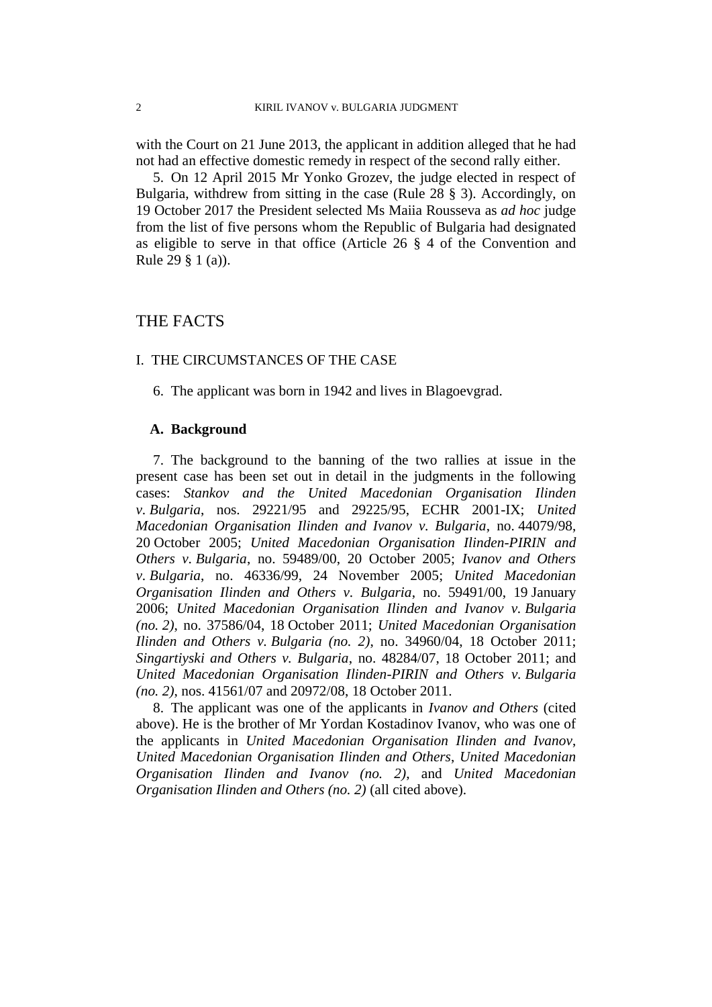with the Court on 21 June 2013, the applicant in addition alleged that he had not had an effective domestic remedy in respect of the second rally either.

5. On 12 April 2015 Mr Yonko Grozev, the judge elected in respect of Bulgaria, withdrew from sitting in the case (Rule 28 § 3). Accordingly, on 19 October 2017 the President selected Ms Maiia Rousseva as *ad hoc* judge from the list of five persons whom the Republic of Bulgaria had designated as eligible to serve in that office (Article 26 § 4 of the Convention and Rule 29 § 1 (a)).

# THE FACTS

# I. THE CIRCUMSTANCES OF THE CASE

6. The applicant was born in 1942 and lives in Blagoevgrad.

## **A. Background**

7. The background to the banning of the two rallies at issue in the present case has been set out in detail in the judgments in the following cases: *Stankov and the United Macedonian Organisation Ilinden v. Bulgaria*, nos. 29221/95 and 29225/95, ECHR 2001-IX; *United Macedonian Organisation Ilinden and Ivanov v. Bulgaria*, no. 44079/98, 20 October 2005; *United Macedonian Organisation Ilinden-PIRIN and Others v. Bulgaria*, no. 59489/00, 20 October 2005; *Ivanov and Others v. Bulgaria*, no. 46336/99, 24 November 2005; *United Macedonian Organisation Ilinden and Others v. Bulgaria*, no. 59491/00, 19 January 2006; *United Macedonian Organisation Ilinden and Ivanov v. Bulgaria (no. 2)*, no. 37586/04, 18 October 2011; *United Macedonian Organisation Ilinden and Others v. Bulgaria (no. 2)*, no. 34960/04, 18 October 2011; *Singartiyski and Others v. Bulgaria*, no. 48284/07, 18 October 2011; and *United Macedonian Organisation Ilinden-PIRIN and Others v. Bulgaria (no. 2)*, nos. 41561/07 and 20972/08, 18 October 2011.

<span id="page-3-0"></span>8. The applicant was one of the applicants in *Ivanov and Others* (cited above). He is the brother of Mr Yordan Kostadinov Ivanov, who was one of the applicants in *United Macedonian Organisation Ilinden and Ivanov*, *United Macedonian Organisation Ilinden and Others*, *United Macedonian Organisation Ilinden and Ivanov (no. 2)*, and *United Macedonian Organisation Ilinden and Others (no. 2)* (all cited above).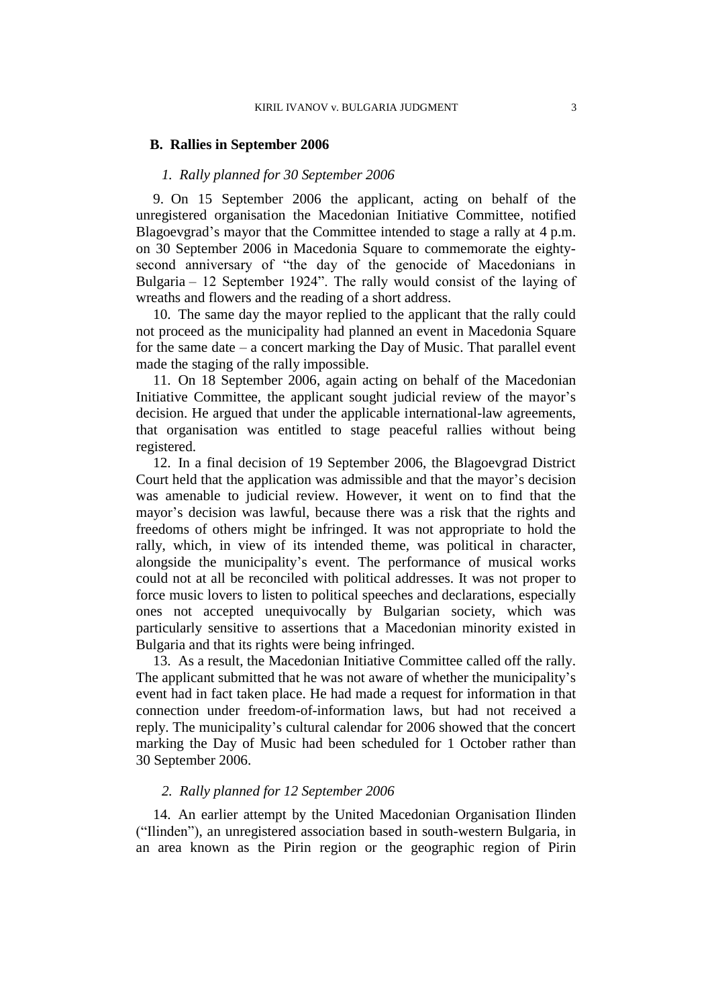#### **B. Rallies in September 2006**

### *1. Rally planned for 30 September 2006*

<span id="page-4-1"></span>9. On 15 September 2006 the applicant, acting on behalf of the unregistered organisation the Macedonian Initiative Committee, notified Blagoevgrad's mayor that the Committee intended to stage a rally at 4 p.m. on 30 September 2006 in Macedonia Square to commemorate the eightysecond anniversary of "the day of the genocide of Macedonians in Bulgaria – 12 September 1924". The rally would consist of the laying of wreaths and flowers and the reading of a short address.

<span id="page-4-3"></span>10. The same day the mayor replied to the applicant that the rally could not proceed as the municipality had planned an event in Macedonia Square for the same date – a concert marking the Day of Music. That parallel event made the staging of the rally impossible.

<span id="page-4-2"></span>11. On 18 September 2006, again acting on behalf of the Macedonian Initiative Committee, the applicant sought judicial review of the mayor's decision. He argued that under the applicable international-law agreements, that organisation was entitled to stage peaceful rallies without being registered.

<span id="page-4-4"></span>12. In a final decision of 19 September 2006, the Blagoevgrad District Court held that the application was admissible and that the mayor's decision was amenable to judicial review. However, it went on to find that the mayor's decision was lawful, because there was a risk that the rights and freedoms of others might be infringed. It was not appropriate to hold the rally, which, in view of its intended theme, was political in character, alongside the municipality's event. The performance of musical works could not at all be reconciled with political addresses. It was not proper to force music lovers to listen to political speeches and declarations, especially ones not accepted unequivocally by Bulgarian society, which was particularly sensitive to assertions that a Macedonian minority existed in Bulgaria and that its rights were being infringed.

13. As a result, the Macedonian Initiative Committee called off the rally. The applicant submitted that he was not aware of whether the municipality's event had in fact taken place. He had made a request for information in that connection under freedom-of-information laws, but had not received a reply. The municipality's cultural calendar for 2006 showed that the concert marking the Day of Music had been scheduled for 1 October rather than 30 September 2006.

# *2. Rally planned for 12 September 2006*

<span id="page-4-0"></span>14. An earlier attempt by the United Macedonian Organisation Ilinden ("Ilinden"), an unregistered association based in south-western Bulgaria, in an area known as the Pirin region or the geographic region of Pirin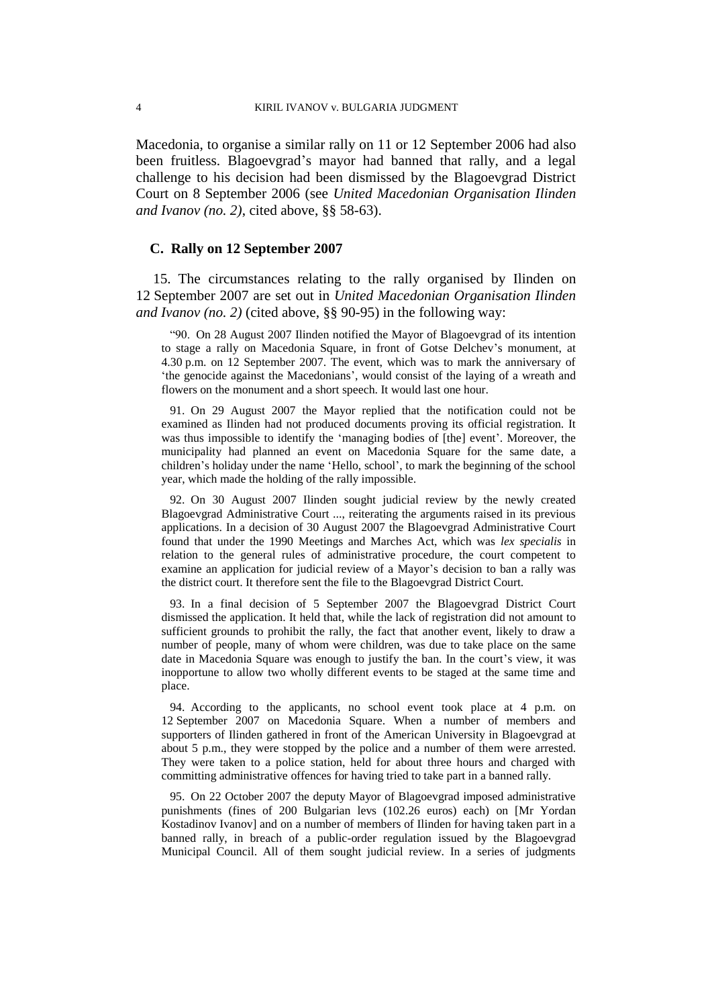Macedonia, to organise a similar rally on 11 or 12 September 2006 had also been fruitless. Blagoevgrad's mayor had banned that rally, and a legal challenge to his decision had been dismissed by the Blagoevgrad District Court on 8 September 2006 (see *United Macedonian Organisation Ilinden and Ivanov (no. 2)*, cited above, §§ 58-63).

# **C. Rally on 12 September 2007**

<span id="page-5-0"></span>15. The circumstances relating to the rally organised by Ilinden on 12 September 2007 are set out in *United Macedonian Organisation Ilinden and Ivanov (no. 2)* (cited above, §§ 90-95) in the following way:

"90. On 28 August 2007 Ilinden notified the Mayor of Blagoevgrad of its intention to stage a rally on Macedonia Square, in front of Gotse Delchev's monument, at 4.30 p.m. on 12 September 2007. The event, which was to mark the anniversary of 'the genocide against the Macedonians', would consist of the laying of a wreath and flowers on the monument and a short speech. It would last one hour.

91. On 29 August 2007 the Mayor replied that the notification could not be examined as Ilinden had not produced documents proving its official registration. It was thus impossible to identify the 'managing bodies of [the] event'. Moreover, the municipality had planned an event on Macedonia Square for the same date, a children's holiday under the name 'Hello, school', to mark the beginning of the school year, which made the holding of the rally impossible.

92. On 30 August 2007 Ilinden sought judicial review by the newly created Blagoevgrad Administrative Court ..., reiterating the arguments raised in its previous applications. In a decision of 30 August 2007 the Blagoevgrad Administrative Court found that under the 1990 Meetings and Marches Act, which was *lex specialis* in relation to the general rules of administrative procedure, the court competent to examine an application for judicial review of a Mayor's decision to ban a rally was the district court. It therefore sent the file to the Blagoevgrad District Court.

93. In a final decision of 5 September 2007 the Blagoevgrad District Court dismissed the application. It held that, while the lack of registration did not amount to sufficient grounds to prohibit the rally, the fact that another event, likely to draw a number of people, many of whom were children, was due to take place on the same date in Macedonia Square was enough to justify the ban. In the court's view, it was inopportune to allow two wholly different events to be staged at the same time and place.

94. According to the applicants, no school event took place at 4 p.m. on 12 September 2007 on Macedonia Square. When a number of members and supporters of Ilinden gathered in front of the American University in Blagoevgrad at about 5 p.m., they were stopped by the police and a number of them were arrested. They were taken to a police station, held for about three hours and charged with committing administrative offences for having tried to take part in a banned rally.

95. On 22 October 2007 the deputy Mayor of Blagoevgrad imposed administrative punishments (fines of 200 Bulgarian levs (102.26 euros) each) on [Mr Yordan Kostadinov Ivanov] and on a number of members of Ilinden for having taken part in a banned rally, in breach of a public-order regulation issued by the Blagoevgrad Municipal Council. All of them sought judicial review. In a series of judgments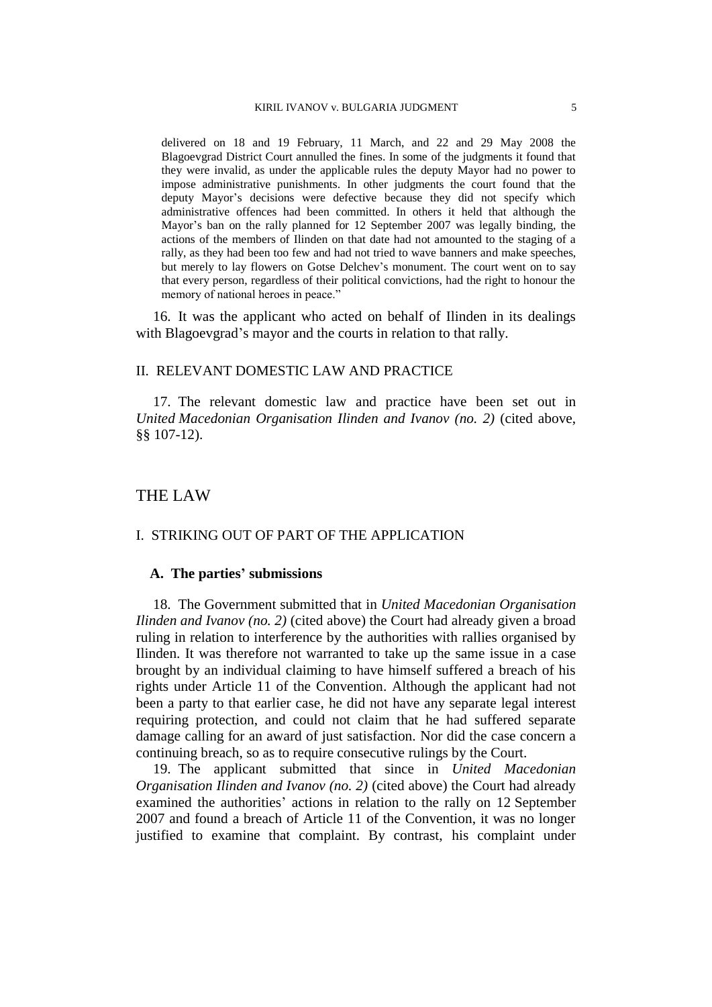delivered on 18 and 19 February, 11 March, and 22 and 29 May 2008 the Blagoevgrad District Court annulled the fines. In some of the judgments it found that they were invalid, as under the applicable rules the deputy Mayor had no power to impose administrative punishments. In other judgments the court found that the deputy Mayor's decisions were defective because they did not specify which administrative offences had been committed. In others it held that although the Mayor's ban on the rally planned for 12 September 2007 was legally binding, the actions of the members of Ilinden on that date had not amounted to the staging of a rally, as they had been too few and had not tried to wave banners and make speeches, but merely to lay flowers on Gotse Delchev's monument. The court went on to say that every person, regardless of their political convictions, had the right to honour the memory of national heroes in peace."

<span id="page-6-0"></span>16. It was the applicant who acted on behalf of Ilinden in its dealings with Blagoevgrad's mayor and the courts in relation to that rally.

#### II. RELEVANT DOMESTIC LAW AND PRACTICE

17. The relevant domestic law and practice have been set out in *United Macedonian Organisation Ilinden and Ivanov (no. 2)* (cited above, §§ 107-12).

# THE LAW

# I. STRIKING OUT OF PART OF THE APPLICATION

# **A. The parties' submissions**

18. The Government submitted that in *United Macedonian Organisation Ilinden and Ivanov (no. 2)* (cited above) the Court had already given a broad ruling in relation to interference by the authorities with rallies organised by Ilinden. It was therefore not warranted to take up the same issue in a case brought by an individual claiming to have himself suffered a breach of his rights under Article 11 of the Convention. Although the applicant had not been a party to that earlier case, he did not have any separate legal interest requiring protection, and could not claim that he had suffered separate damage calling for an award of just satisfaction. Nor did the case concern a continuing breach, so as to require consecutive rulings by the Court.

19. The applicant submitted that since in *United Macedonian Organisation Ilinden and Ivanov (no. 2)* (cited above) the Court had already examined the authorities' actions in relation to the rally on 12 September 2007 and found a breach of Article 11 of the Convention, it was no longer justified to examine that complaint. By contrast, his complaint under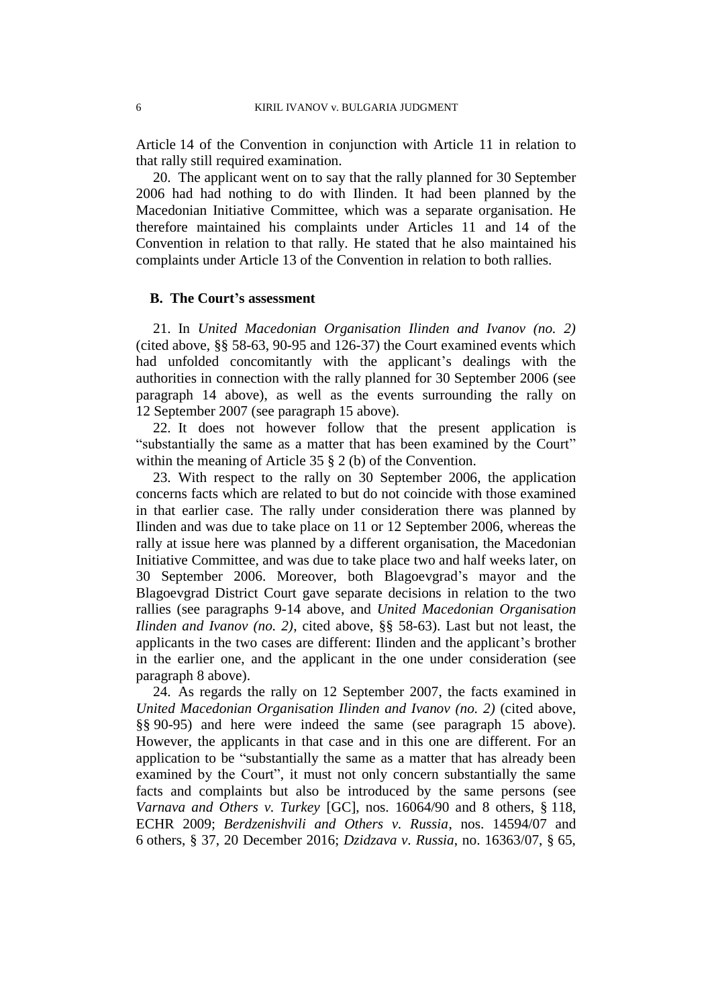Article 14 of the Convention in conjunction with Article 11 in relation to that rally still required examination.

20. The applicant went on to say that the rally planned for 30 September 2006 had had nothing to do with Ilinden. It had been planned by the Macedonian Initiative Committee, which was a separate organisation. He therefore maintained his complaints under Articles 11 and 14 of the Convention in relation to that rally. He stated that he also maintained his complaints under Article 13 of the Convention in relation to both rallies.

# **B. The Court's assessment**

21. In *United Macedonian Organisation Ilinden and Ivanov (no. 2)* (cited above, §§ 58-63, 90-95 and 126-37) the Court examined events which had unfolded concomitantly with the applicant's dealings with the authorities in connection with the rally planned for 30 September 2006 (see paragraph [14](#page-4-0) above), as well as the events surrounding the rally on 12 September 2007 (see paragraph [15](#page-5-0) above).

22. It does not however follow that the present application is "substantially the same as a matter that has been examined by the Court" within the meaning of Article 35 § 2 (b) of the Convention.

<span id="page-7-0"></span>23. With respect to the rally on 30 September 2006, the application concerns facts which are related to but do not coincide with those examined in that earlier case. The rally under consideration there was planned by Ilinden and was due to take place on 11 or 12 September 2006, whereas the rally at issue here was planned by a different organisation, the Macedonian Initiative Committee, and was due to take place two and half weeks later, on 30 September 2006. Moreover, both Blagoevgrad's mayor and the Blagoevgrad District Court gave separate decisions in relation to the two rallies (see paragraphs [9](#page-4-1)[-14](#page-4-0) above, and *United Macedonian Organisation Ilinden and Ivanov (no. 2)*, cited above, §§ 58-63). Last but not least, the applicants in the two cases are different: Ilinden and the applicant's brother in the earlier one, and the applicant in the one under consideration (see paragraph [8](#page-3-0) above).

24. As regards the rally on 12 September 2007, the facts examined in *United Macedonian Organisation Ilinden and Ivanov (no. 2)* (cited above, §§ 90-95) and here were indeed the same (see paragraph [15](#page-5-0) above). However, the applicants in that case and in this one are different. For an application to be "substantially the same as a matter that has already been examined by the Court", it must not only concern substantially the same facts and complaints but also be introduced by the same persons (see *Varnava and Others v. Turkey* [GC], nos. 16064/90 and 8 others, § 118, ECHR 2009; *Berdzenishvili and Others v. Russia*, nos. 14594/07 and 6 others, § 37, 20 December 2016; *Dzidzava v. Russia*, no. 16363/07, § 65,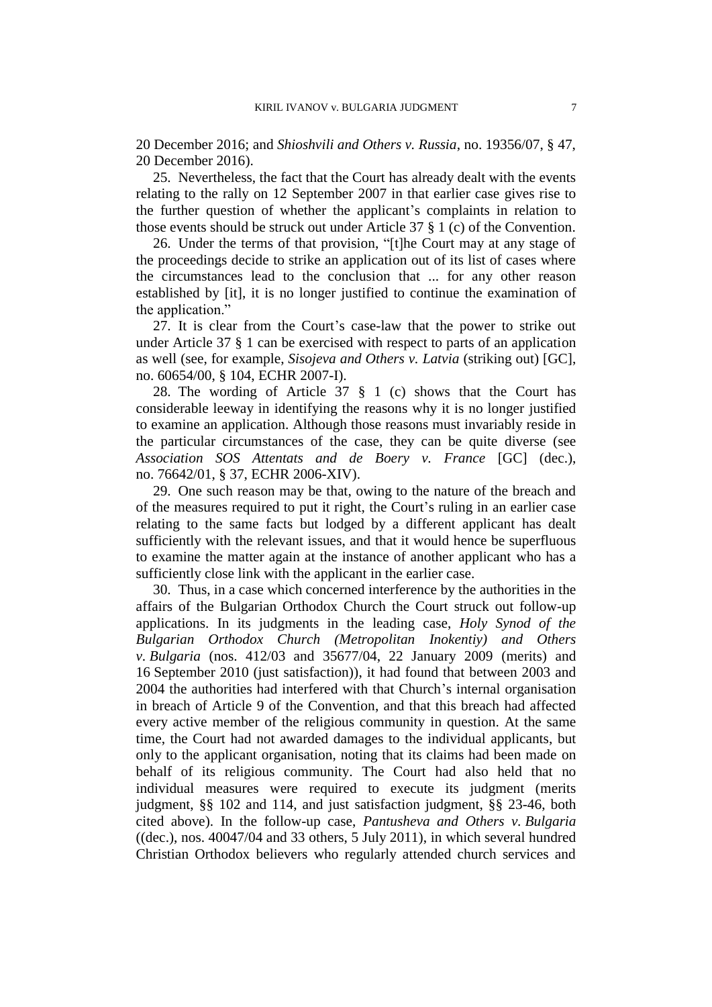20 December 2016; and *Shioshvili and Others v. Russia*, no. 19356/07, § 47, 20 December 2016).

25. Nevertheless, the fact that the Court has already dealt with the events relating to the rally on 12 September 2007 in that earlier case gives rise to the further question of whether the applicant's complaints in relation to those events should be struck out under Article 37 § 1 (c) of the Convention.

26. Under the terms of that provision, "[t]he Court may at any stage of the proceedings decide to strike an application out of its list of cases where the circumstances lead to the conclusion that ... for any other reason established by [it], it is no longer justified to continue the examination of the application."

27. It is clear from the Court's case-law that the power to strike out under Article 37 § 1 can be exercised with respect to parts of an application as well (see, for example, *Sisojeva and Others v. Latvia* (striking out) [GC], no. 60654/00, § 104, ECHR 2007-I).

28. The wording of Article 37 § 1 (c) shows that the Court has considerable leeway in identifying the reasons why it is no longer justified to examine an application. Although those reasons must invariably reside in the particular circumstances of the case, they can be quite diverse (see *Association SOS Attentats and de Boery v. France* [GC] (dec.), no. 76642/01, § 37, ECHR 2006-XIV).

29. One such reason may be that, owing to the nature of the breach and of the measures required to put it right, the Court's ruling in an earlier case relating to the same facts but lodged by a different applicant has dealt sufficiently with the relevant issues, and that it would hence be superfluous to examine the matter again at the instance of another applicant who has a sufficiently close link with the applicant in the earlier case.

30. Thus, in a case which concerned interference by the authorities in the affairs of the Bulgarian Orthodox Church the Court struck out follow-up applications. In its judgments in the leading case, *Holy Synod of the Bulgarian Orthodox Church (Metropolitan Inokentiy) and Others v. Bulgaria* (nos. 412/03 and 35677/04, 22 January 2009 (merits) and 16 September 2010 (just satisfaction)), it had found that between 2003 and 2004 the authorities had interfered with that Church's internal organisation in breach of Article 9 of the Convention, and that this breach had affected every active member of the religious community in question. At the same time, the Court had not awarded damages to the individual applicants, but only to the applicant organisation, noting that its claims had been made on behalf of its religious community. The Court had also held that no individual measures were required to execute its judgment (merits judgment, §§ 102 and 114, and just satisfaction judgment, §§ 23-46, both cited above). In the follow-up case, *Pantusheva and Others v. Bulgaria* ((dec.), nos. 40047/04 and 33 others, 5 July 2011), in which several hundred Christian Orthodox believers who regularly attended church services and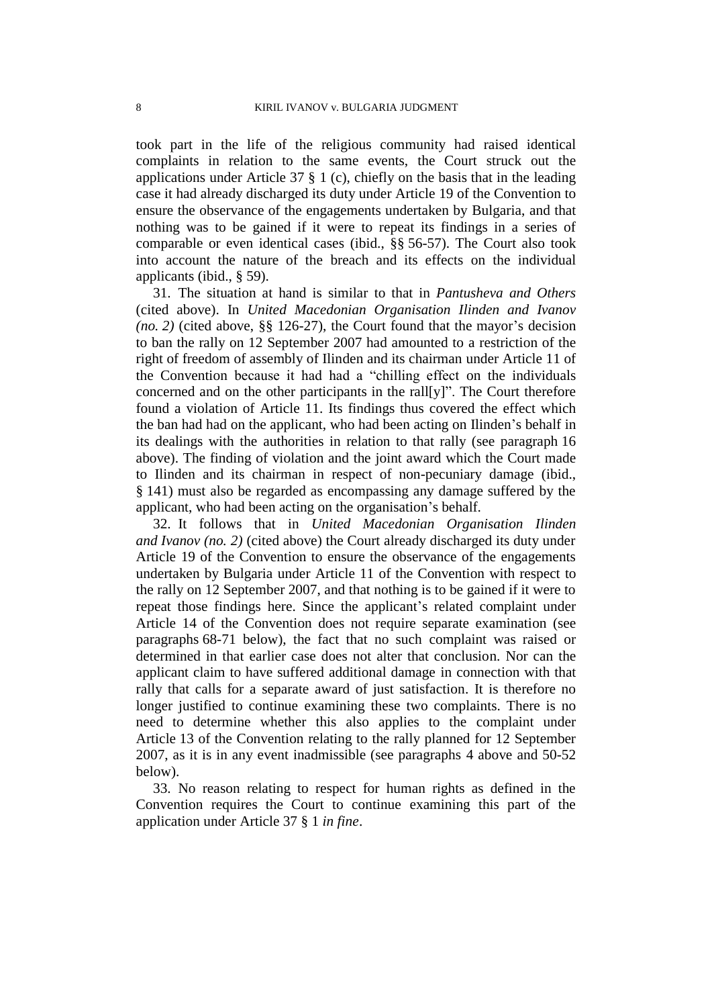took part in the life of the religious community had raised identical complaints in relation to the same events, the Court struck out the applications under Article 37  $\S$  1 (c), chiefly on the basis that in the leading case it had already discharged its duty under Article 19 of the Convention to ensure the observance of the engagements undertaken by Bulgaria, and that nothing was to be gained if it were to repeat its findings in a series of comparable or even identical cases (ibid., §§ 56-57). The Court also took into account the nature of the breach and its effects on the individual applicants (ibid., § 59).

31. The situation at hand is similar to that in *Pantusheva and Others* (cited above). In *United Macedonian Organisation Ilinden and Ivanov (no. 2)* (cited above, §§ 126-27), the Court found that the mayor's decision to ban the rally on 12 September 2007 had amounted to a restriction of the right of freedom of assembly of Ilinden and its chairman under Article 11 of the Convention because it had had a "chilling effect on the individuals concerned and on the other participants in the rall[y]". The Court therefore found a violation of Article 11. Its findings thus covered the effect which the ban had had on the applicant, who had been acting on Ilinden's behalf in its dealings with the authorities in relation to that rally (see paragraph [16](#page-6-0) above). The finding of violation and the joint award which the Court made to Ilinden and its chairman in respect of non-pecuniary damage (ibid., § 141) must also be regarded as encompassing any damage suffered by the applicant, who had been acting on the organisation's behalf.

32. It follows that in *United Macedonian Organisation Ilinden and Ivanov (no. 2)* (cited above) the Court already discharged its duty under Article 19 of the Convention to ensure the observance of the engagements undertaken by Bulgaria under Article 11 of the Convention with respect to the rally on 12 September 2007, and that nothing is to be gained if it were to repeat those findings here. Since the applicant's related complaint under Article 14 of the Convention does not require separate examination (see paragraphs [68-](#page-16-0)[71](#page-17-0) below), the fact that no such complaint was raised or determined in that earlier case does not alter that conclusion. Nor can the applicant claim to have suffered additional damage in connection with that rally that calls for a separate award of just satisfaction. It is therefore no longer justified to continue examining these two complaints. There is no need to determine whether this also applies to the complaint under Article 13 of the Convention relating to the rally planned for 12 September 2007, as it is in any event inadmissible (see paragraphs [4](#page-2-0) above and [50](#page-13-0)[-52](#page-13-1) below).

33. No reason relating to respect for human rights as defined in the Convention requires the Court to continue examining this part of the application under Article 37 § 1 *in fine*.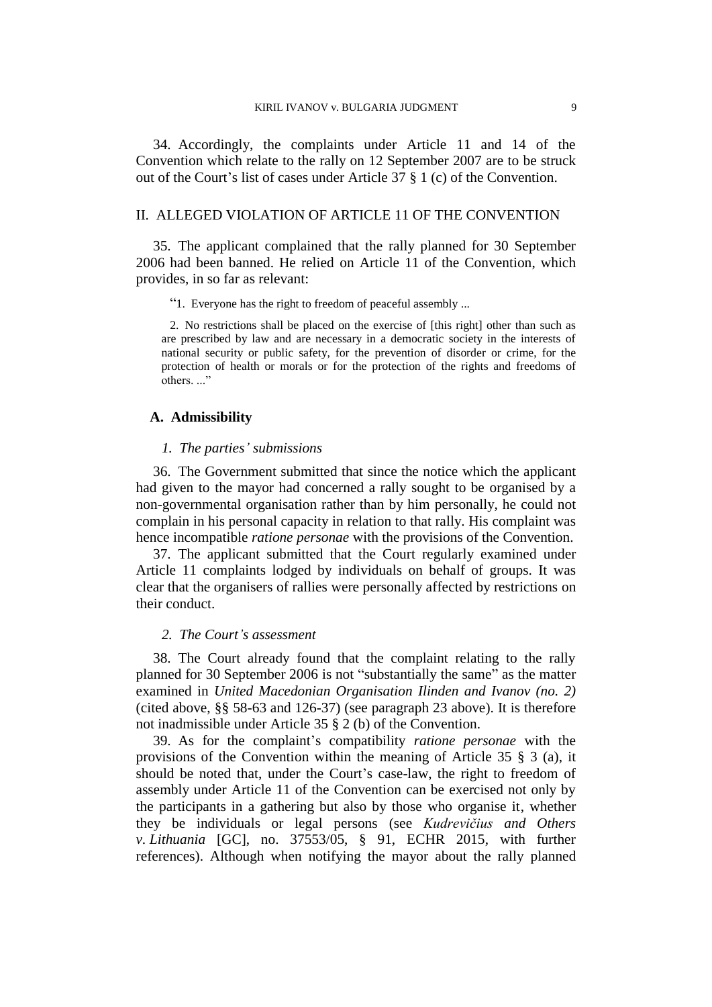34. Accordingly, the complaints under Article 11 and 14 of the Convention which relate to the rally on 12 September 2007 are to be struck out of the Court's list of cases under Article 37 § 1 (c) of the Convention.

# II. ALLEGED VIOLATION OF ARTICLE 11 OF THE CONVENTION

35. The applicant complained that the rally planned for 30 September 2006 had been banned. He relied on Article 11 of the Convention, which provides, in so far as relevant:

"1. Everyone has the right to freedom of peaceful assembly ...

2. No restrictions shall be placed on the exercise of [this right] other than such as are prescribed by law and are necessary in a democratic society in the interests of national security or public safety, for the prevention of disorder or crime, for the protection of health or morals or for the protection of the rights and freedoms of others..."

# **A. Admissibility**

#### *1. The parties' submissions*

36. The Government submitted that since the notice which the applicant had given to the mayor had concerned a rally sought to be organised by a non-governmental organisation rather than by him personally, he could not complain in his personal capacity in relation to that rally. His complaint was hence incompatible *ratione personae* with the provisions of the Convention.

37. The applicant submitted that the Court regularly examined under Article 11 complaints lodged by individuals on behalf of groups. It was clear that the organisers of rallies were personally affected by restrictions on their conduct.

# *2. The Court's assessment*

38. The Court already found that the complaint relating to the rally planned for 30 September 2006 is not "substantially the same" as the matter examined in *United Macedonian Organisation Ilinden and Ivanov (no. 2)* (cited above, §§ 58-63 and 126-37) (see paragraph [23](#page-7-0) above). It is therefore not inadmissible under Article 35 § 2 (b) of the Convention.

<span id="page-10-0"></span>39. As for the complaint's compatibility *ratione personae* with the provisions of the Convention within the meaning of Article 35 § 3 (a), it should be noted that, under the Court's case-law, the right to freedom of assembly under Article 11 of the Convention can be exercised not only by the participants in a gathering but also by those who organise it, whether they be individuals or legal persons (see *Kudrevičius and Others v. Lithuania* [GC], no. 37553/05, § 91, ECHR 2015, with further references). Although when notifying the mayor about the rally planned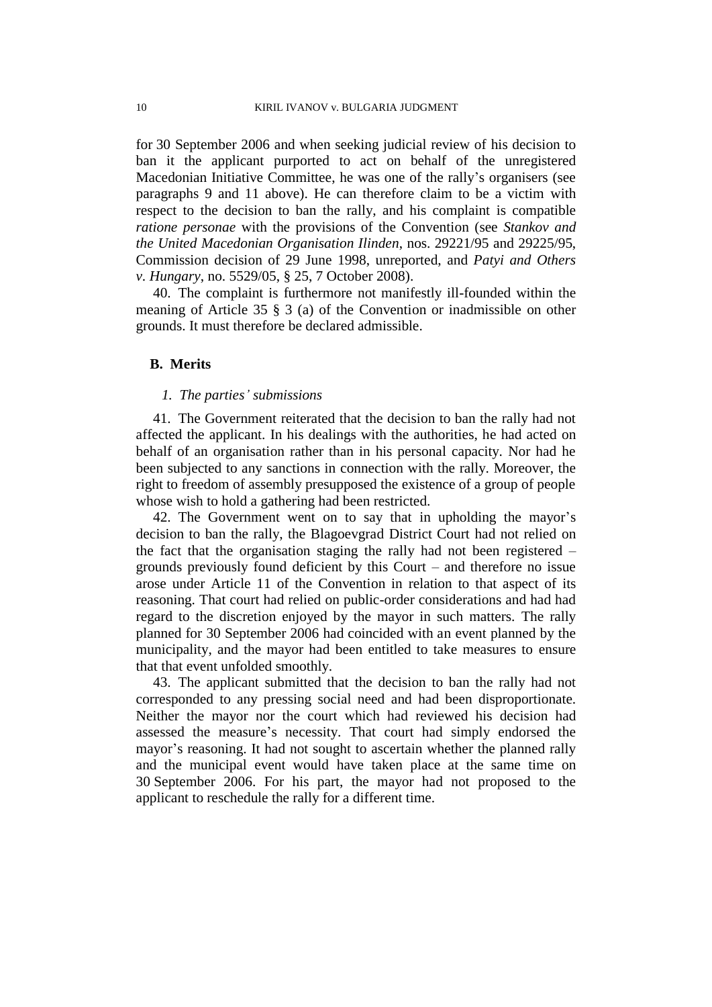for 30 September 2006 and when seeking judicial review of his decision to ban it the applicant purported to act on behalf of the unregistered Macedonian Initiative Committee, he was one of the rally's organisers (see paragraphs [9](#page-4-1) and [11](#page-4-2) above). He can therefore claim to be a victim with respect to the decision to ban the rally, and his complaint is compatible *ratione personae* with the provisions of the Convention (see *Stankov and the United Macedonian Organisation Ilinden*, nos. 29221/95 and 29225/95, Commission decision of 29 June 1998, unreported, and *Patyi and Others v. Hungary*, no. 5529/05, § 25, 7 October 2008).

40. The complaint is furthermore not manifestly ill-founded within the meaning of Article 35 § 3 (a) of the Convention or inadmissible on other grounds. It must therefore be declared admissible.

## **B. Merits**

#### *1. The parties' submissions*

41. The Government reiterated that the decision to ban the rally had not affected the applicant. In his dealings with the authorities, he had acted on behalf of an organisation rather than in his personal capacity. Nor had he been subjected to any sanctions in connection with the rally. Moreover, the right to freedom of assembly presupposed the existence of a group of people whose wish to hold a gathering had been restricted.

42. The Government went on to say that in upholding the mayor's decision to ban the rally, the Blagoevgrad District Court had not relied on the fact that the organisation staging the rally had not been registered – grounds previously found deficient by this Court – and therefore no issue arose under Article 11 of the Convention in relation to that aspect of its reasoning. That court had relied on public-order considerations and had had regard to the discretion enjoyed by the mayor in such matters. The rally planned for 30 September 2006 had coincided with an event planned by the municipality, and the mayor had been entitled to take measures to ensure that that event unfolded smoothly.

43. The applicant submitted that the decision to ban the rally had not corresponded to any pressing social need and had been disproportionate. Neither the mayor nor the court which had reviewed his decision had assessed the measure's necessity. That court had simply endorsed the mayor's reasoning. It had not sought to ascertain whether the planned rally and the municipal event would have taken place at the same time on 30 September 2006. For his part, the mayor had not proposed to the applicant to reschedule the rally for a different time.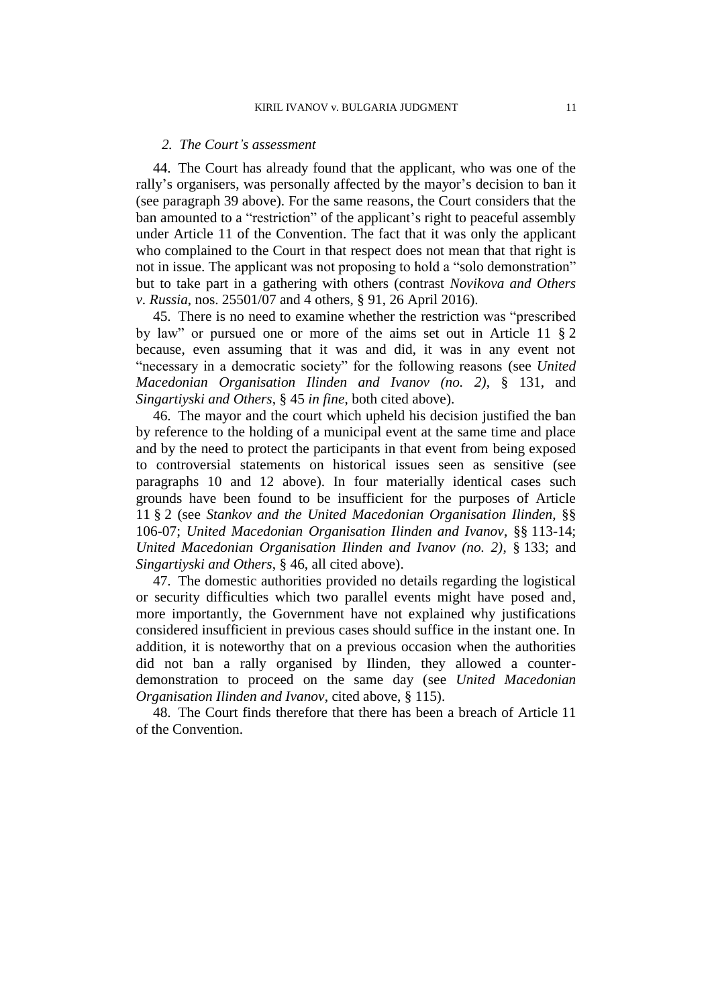#### *2. The Court's assessment*

<span id="page-12-1"></span>44. The Court has already found that the applicant, who was one of the rally's organisers, was personally affected by the mayor's decision to ban it (see paragraph [39](#page-10-0) above). For the same reasons, the Court considers that the ban amounted to a "restriction" of the applicant's right to peaceful assembly under Article 11 of the Convention. The fact that it was only the applicant who complained to the Court in that respect does not mean that that right is not in issue. The applicant was not proposing to hold a "solo demonstration" but to take part in a gathering with others (contrast *Novikova and Others v. Russia*, nos. 25501/07 and 4 others, § 91, 26 April 2016).

45. There is no need to examine whether the restriction was "prescribed by law" or pursued one or more of the aims set out in Article 11 § 2 because, even assuming that it was and did, it was in any event not "necessary in a democratic society" for the following reasons (see *United Macedonian Organisation Ilinden and Ivanov (no. 2)*, § 131, and *Singartiyski and Others*, § 45 *in fine*, both cited above).

46. The mayor and the court which upheld his decision justified the ban by reference to the holding of a municipal event at the same time and place and by the need to protect the participants in that event from being exposed to controversial statements on historical issues seen as sensitive (see paragraphs [10](#page-4-3) and [12](#page-4-4) above). In four materially identical cases such grounds have been found to be insufficient for the purposes of Article 11 § 2 (see *Stankov and the United Macedonian Organisation Ilinden*, §§ 106-07; *United Macedonian Organisation Ilinden and Ivanov*, §§ 113-14; *United Macedonian Organisation Ilinden and Ivanov (no. 2)*, § 133; and *Singartiyski and Others*, § 46, all cited above).

47. The domestic authorities provided no details regarding the logistical or security difficulties which two parallel events might have posed and, more importantly, the Government have not explained why justifications considered insufficient in previous cases should suffice in the instant one. In addition, it is noteworthy that on a previous occasion when the authorities did not ban a rally organised by Ilinden, they allowed a counterdemonstration to proceed on the same day (see *United Macedonian Organisation Ilinden and Ivanov*, cited above, § 115).

<span id="page-12-0"></span>48. The Court finds therefore that there has been a breach of Article 11 of the Convention.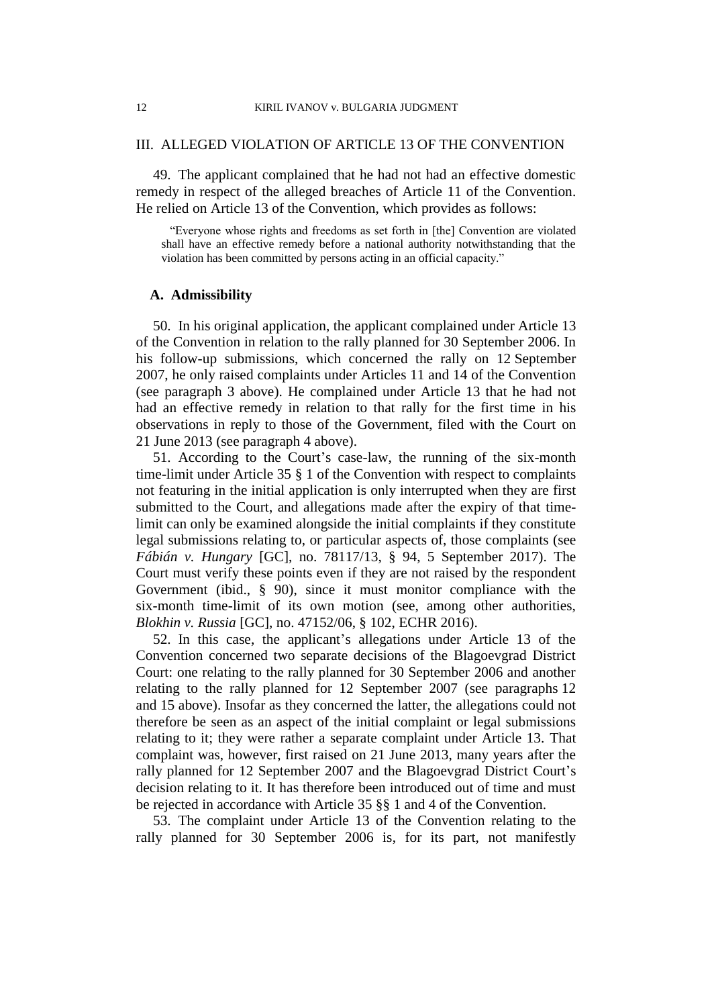# III. ALLEGED VIOLATION OF ARTICLE 13 OF THE CONVENTION

49. The applicant complained that he had not had an effective domestic remedy in respect of the alleged breaches of Article 11 of the Convention. He relied on Article 13 of the Convention, which provides as follows:

"Everyone whose rights and freedoms as set forth in [the] Convention are violated shall have an effective remedy before a national authority notwithstanding that the violation has been committed by persons acting in an official capacity."

## **A. Admissibility**

<span id="page-13-0"></span>50. In his original application, the applicant complained under Article 13 of the Convention in relation to the rally planned for 30 September 2006. In his follow-up submissions, which concerned the rally on 12 September 2007, he only raised complaints under Articles 11 and 14 of the Convention (see paragraph [3](#page-2-1) above). He complained under Article 13 that he had not had an effective remedy in relation to that rally for the first time in his observations in reply to those of the Government, filed with the Court on 21 June 2013 (see paragraph [4](#page-2-0) above).

51. According to the Court's case-law, the running of the six-month time-limit under Article 35 § 1 of the Convention with respect to complaints not featuring in the initial application is only interrupted when they are first submitted to the Court, and allegations made after the expiry of that timelimit can only be examined alongside the initial complaints if they constitute legal submissions relating to, or particular aspects of, those complaints (see *Fábián v. Hungary* [GC], no. 78117/13, § 94, 5 September 2017). The Court must verify these points even if they are not raised by the respondent Government (ibid., § 90), since it must monitor compliance with the six-month time-limit of its own motion (see, among other authorities, *Blokhin v. Russia* [GC], no. 47152/06, § 102, ECHR 2016).

<span id="page-13-1"></span>52. In this case, the applicant's allegations under Article 13 of the Convention concerned two separate decisions of the Blagoevgrad District Court: one relating to the rally planned for 30 September 2006 and another relating to the rally planned for 12 September 2007 (see paragraphs [12](#page-4-4) and [15](#page-5-0) above). Insofar as they concerned the latter, the allegations could not therefore be seen as an aspect of the initial complaint or legal submissions relating to it; they were rather a separate complaint under Article 13. That complaint was, however, first raised on 21 June 2013, many years after the rally planned for 12 September 2007 and the Blagoevgrad District Court's decision relating to it. It has therefore been introduced out of time and must be rejected in accordance with Article 35 §§ 1 and 4 of the Convention.

53. The complaint under Article 13 of the Convention relating to the rally planned for 30 September 2006 is, for its part, not manifestly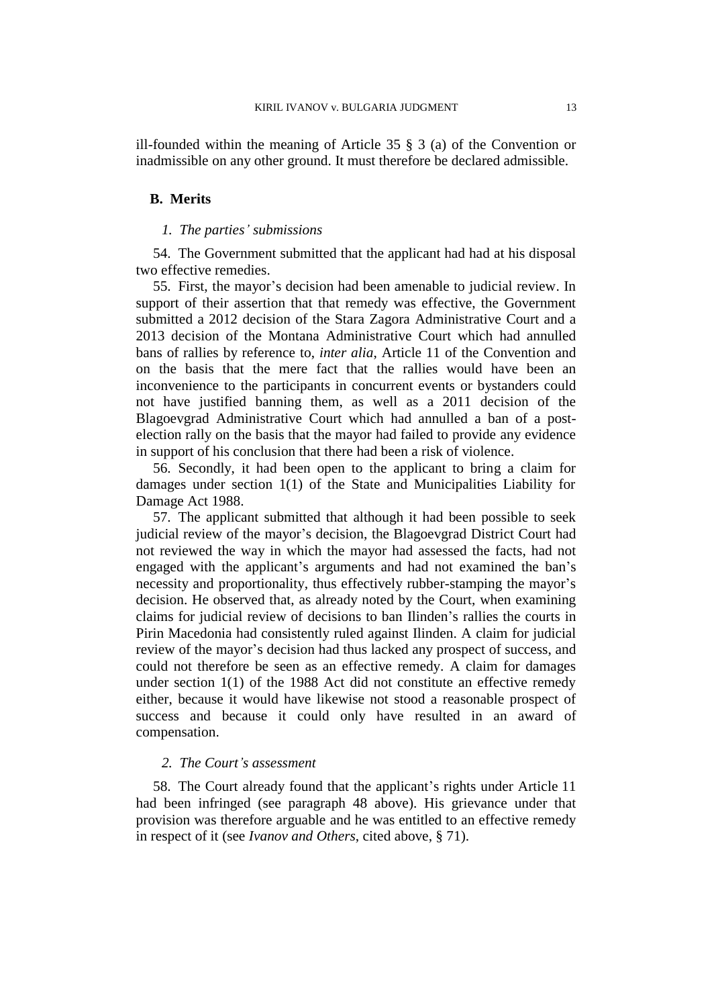ill-founded within the meaning of Article 35 § 3 (a) of the Convention or inadmissible on any other ground. It must therefore be declared admissible.

#### **B. Merits**

# *1. The parties' submissions*

54. The Government submitted that the applicant had had at his disposal two effective remedies.

<span id="page-14-0"></span>55. First, the mayor's decision had been amenable to judicial review. In support of their assertion that that remedy was effective, the Government submitted a 2012 decision of the Stara Zagora Administrative Court and a 2013 decision of the Montana Administrative Court which had annulled bans of rallies by reference to, *inter alia*, Article 11 of the Convention and on the basis that the mere fact that the rallies would have been an inconvenience to the participants in concurrent events or bystanders could not have justified banning them, as well as a 2011 decision of the Blagoevgrad Administrative Court which had annulled a ban of a postelection rally on the basis that the mayor had failed to provide any evidence in support of his conclusion that there had been a risk of violence.

56. Secondly, it had been open to the applicant to bring a claim for damages under section 1(1) of the State and Municipalities Liability for Damage Act 1988.

57. The applicant submitted that although it had been possible to seek judicial review of the mayor's decision, the Blagoevgrad District Court had not reviewed the way in which the mayor had assessed the facts, had not engaged with the applicant's arguments and had not examined the ban's necessity and proportionality, thus effectively rubber-stamping the mayor's decision. He observed that, as already noted by the Court, when examining claims for judicial review of decisions to ban Ilinden's rallies the courts in Pirin Macedonia had consistently ruled against Ilinden. A claim for judicial review of the mayor's decision had thus lacked any prospect of success, and could not therefore be seen as an effective remedy. A claim for damages under section 1(1) of the 1988 Act did not constitute an effective remedy either, because it would have likewise not stood a reasonable prospect of success and because it could only have resulted in an award of compensation.

## *2. The Court's assessment*

58. The Court already found that the applicant's rights under Article 11 had been infringed (see paragraph [48](#page-12-0) above). His grievance under that provision was therefore arguable and he was entitled to an effective remedy in respect of it (see *Ivanov and Others*, cited above, § 71).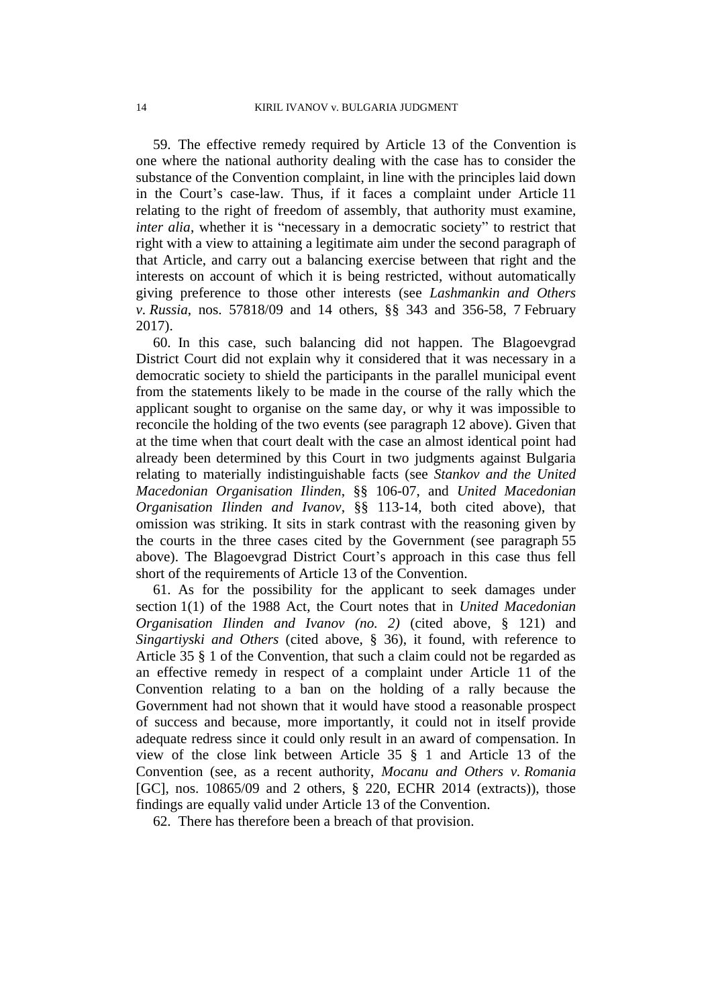59. The effective remedy required by Article 13 of the Convention is one where the national authority dealing with the case has to consider the substance of the Convention complaint, in line with the principles laid down in the Court's case-law. Thus, if it faces a complaint under Article 11 relating to the right of freedom of assembly, that authority must examine, *inter alia*, whether it is "necessary in a democratic society" to restrict that right with a view to attaining a legitimate aim under the second paragraph of that Article, and carry out a balancing exercise between that right and the interests on account of which it is being restricted, without automatically giving preference to those other interests (see *Lashmankin and Others v. Russia*, nos. 57818/09 and 14 others, §§ 343 and 356-58, 7 February 2017).

60. In this case, such balancing did not happen. The Blagoevgrad District Court did not explain why it considered that it was necessary in a democratic society to shield the participants in the parallel municipal event from the statements likely to be made in the course of the rally which the applicant sought to organise on the same day, or why it was impossible to reconcile the holding of the two events (see paragraph [12](#page-4-4) above). Given that at the time when that court dealt with the case an almost identical point had already been determined by this Court in two judgments against Bulgaria relating to materially indistinguishable facts (see *Stankov and the United Macedonian Organisation Ilinden*, §§ 106-07, and *United Macedonian Organisation Ilinden and Ivanov*, §§ 113-14, both cited above), that omission was striking. It sits in stark contrast with the reasoning given by the courts in the three cases cited by the Government (see paragraph [55](#page-14-0) above). The Blagoevgrad District Court's approach in this case thus fell short of the requirements of Article 13 of the Convention.

61. As for the possibility for the applicant to seek damages under section 1(1) of the 1988 Act, the Court notes that in *United Macedonian Organisation Ilinden and Ivanov (no. 2)* (cited above, § 121) and *Singartiyski and Others* (cited above, § 36), it found, with reference to Article 35 § 1 of the Convention, that such a claim could not be regarded as an effective remedy in respect of a complaint under Article 11 of the Convention relating to a ban on the holding of a rally because the Government had not shown that it would have stood a reasonable prospect of success and because, more importantly, it could not in itself provide adequate redress since it could only result in an award of compensation. In view of the close link between Article 35 § 1 and Article 13 of the Convention (see, as a recent authority, *Mocanu and Others v. Romania*  [GC], nos. 10865/09 and 2 others, § 220, ECHR 2014 (extracts)), those findings are equally valid under Article 13 of the Convention.

62. There has therefore been a breach of that provision.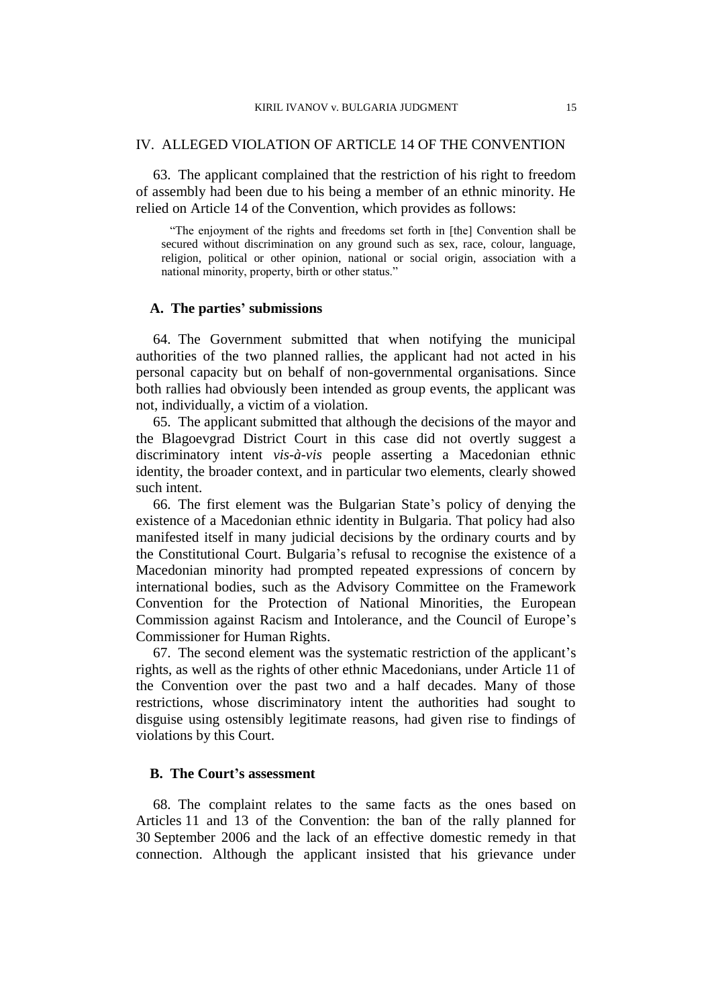# IV. ALLEGED VIOLATION OF ARTICLE 14 OF THE CONVENTION

63. The applicant complained that the restriction of his right to freedom of assembly had been due to his being a member of an ethnic minority. He relied on Article 14 of the Convention, which provides as follows:

"The enjoyment of the rights and freedoms set forth in [the] Convention shall be secured without discrimination on any ground such as sex, race, colour, language, religion, political or other opinion, national or social origin, association with a national minority, property, birth or other status."

### **A. The parties' submissions**

64. The Government submitted that when notifying the municipal authorities of the two planned rallies, the applicant had not acted in his personal capacity but on behalf of non-governmental organisations. Since both rallies had obviously been intended as group events, the applicant was not, individually, a victim of a violation.

65. The applicant submitted that although the decisions of the mayor and the Blagoevgrad District Court in this case did not overtly suggest a discriminatory intent *vis-à-vis* people asserting a Macedonian ethnic identity, the broader context, and in particular two elements, clearly showed such intent.

66. The first element was the Bulgarian State's policy of denying the existence of a Macedonian ethnic identity in Bulgaria. That policy had also manifested itself in many judicial decisions by the ordinary courts and by the Constitutional Court. Bulgaria's refusal to recognise the existence of a Macedonian minority had prompted repeated expressions of concern by international bodies, such as the Advisory Committee on the Framework Convention for the Protection of National Minorities, the European Commission against Racism and Intolerance, and the Council of Europe's Commissioner for Human Rights.

67. The second element was the systematic restriction of the applicant's rights, as well as the rights of other ethnic Macedonians, under Article 11 of the Convention over the past two and a half decades. Many of those restrictions, whose discriminatory intent the authorities had sought to disguise using ostensibly legitimate reasons, had given rise to findings of violations by this Court.

# **B. The Court's assessment**

<span id="page-16-0"></span>68. The complaint relates to the same facts as the ones based on Articles 11 and 13 of the Convention: the ban of the rally planned for 30 September 2006 and the lack of an effective domestic remedy in that connection. Although the applicant insisted that his grievance under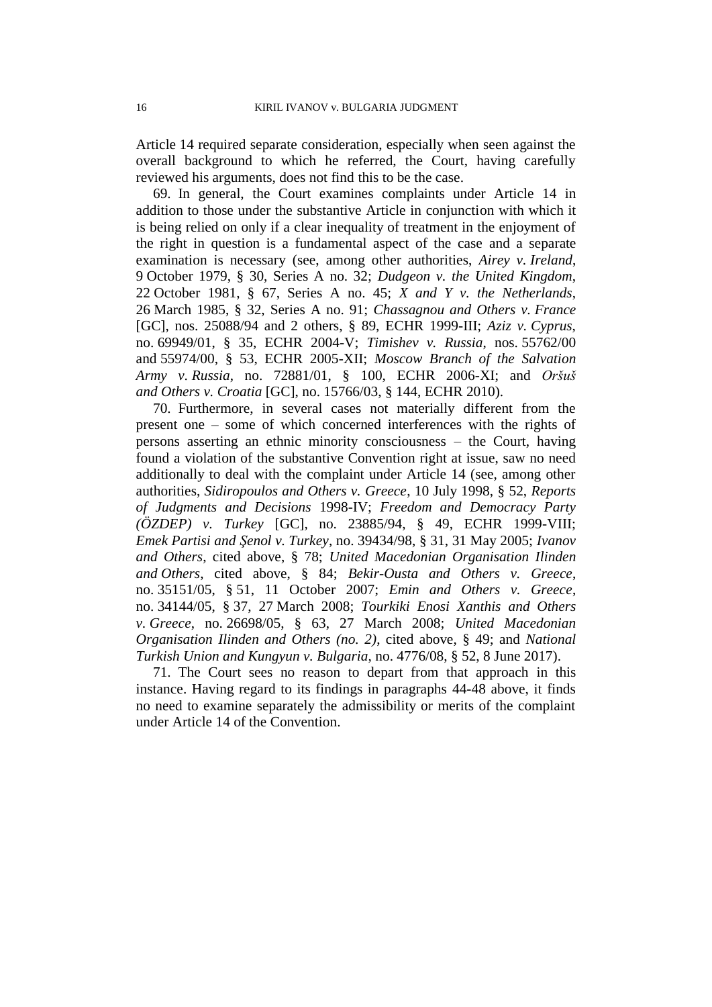Article 14 required separate consideration, especially when seen against the overall background to which he referred, the Court, having carefully reviewed his arguments, does not find this to be the case.

69. In general, the Court examines complaints under Article 14 in addition to those under the substantive Article in conjunction with which it is being relied on only if a clear inequality of treatment in the enjoyment of the right in question is a fundamental aspect of the case and a separate examination is necessary (see, among other authorities, *Airey v. Ireland*, 9 October 1979, § 30, Series A no. 32; *Dudgeon v. the United Kingdom*, 22 October 1981, § 67, Series A no. 45; *X and Y v. the Netherlands*, 26 March 1985, § 32, Series A no. 91; *Chassagnou and Others v. France* [GC], nos. 25088/94 and 2 others, § 89, ECHR 1999-III; *Aziz v. Cyprus*, no. 69949/01, § 35, ECHR 2004-V; *Timishev v. Russia*, nos. 55762/00 and 55974/00, § 53, ECHR 2005-XII; *Moscow Branch of the Salvation Army v. Russia*, no. 72881/01, § 100, ECHR 2006-XI; and *Oršuš and Others v. Croatia* [GC], no. 15766/03, § 144, ECHR 2010).

70. Furthermore, in several cases not materially different from the present one – some of which concerned interferences with the rights of persons asserting an ethnic minority consciousness – the Court, having found a violation of the substantive Convention right at issue, saw no need additionally to deal with the complaint under Article 14 (see, among other authorities, *Sidiropoulos and Others v. Greece*, 10 July 1998, § 52, *Reports of Judgments and Decisions* 1998-IV; *Freedom and Democracy Party (ÖZDEP) v. Turkey* [GC], no. 23885/94, § 49, ECHR 1999-VIII; *Emek Partisi and Şenol v. Turkey*, no. 39434/98, § 31, 31 May 2005; *Ivanov and Others*, cited above, § 78; *United Macedonian Organisation Ilinden and Others*, cited above, § 84; *Bekir-Ousta and Others v. Greece*, no. 35151/05, § 51, 11 October 2007; *Emin and Others v. Greece*, no. 34144/05, § 37, 27 March 2008; *Tourkiki Enosi Xanthis and Others v. Greece*, no. 26698/05, § 63, 27 March 2008; *United Macedonian Organisation Ilinden and Others (no. 2)*, cited above, § 49; and *National Turkish Union and Kungyun v. Bulgaria*, no. 4776/08, § 52, 8 June 2017).

<span id="page-17-0"></span>71. The Court sees no reason to depart from that approach in this instance. Having regard to its findings in paragraphs [44-](#page-12-1)[48](#page-12-0) above, it finds no need to examine separately the admissibility or merits of the complaint under Article 14 of the Convention.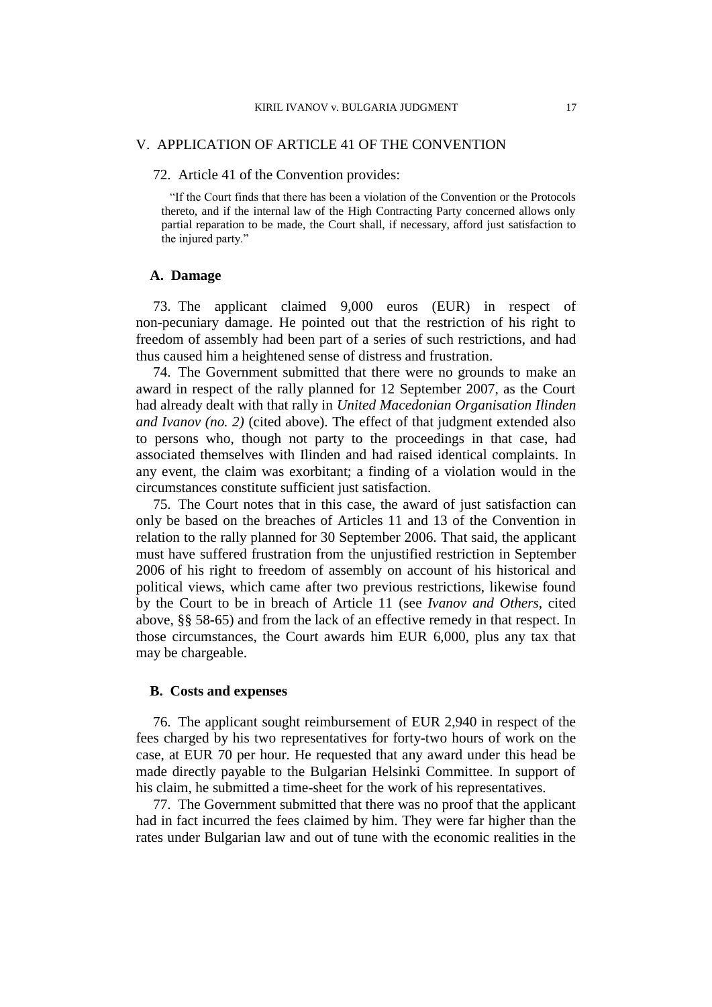# V. APPLICATION OF ARTICLE 41 OF THE CONVENTION

### 72. Article 41 of the Convention provides:

"If the Court finds that there has been a violation of the Convention or the Protocols thereto, and if the internal law of the High Contracting Party concerned allows only partial reparation to be made, the Court shall, if necessary, afford just satisfaction to the injured party."

# **A. Damage**

73. The applicant claimed 9,000 euros (EUR) in respect of non-pecuniary damage. He pointed out that the restriction of his right to freedom of assembly had been part of a series of such restrictions, and had thus caused him a heightened sense of distress and frustration.

74. The Government submitted that there were no grounds to make an award in respect of the rally planned for 12 September 2007, as the Court had already dealt with that rally in *United Macedonian Organisation Ilinden and Ivanov (no. 2)* (cited above). The effect of that judgment extended also to persons who, though not party to the proceedings in that case, had associated themselves with Ilinden and had raised identical complaints. In any event, the claim was exorbitant; a finding of a violation would in the circumstances constitute sufficient just satisfaction.

75. The Court notes that in this case, the award of just satisfaction can only be based on the breaches of Articles 11 and 13 of the Convention in relation to the rally planned for 30 September 2006. That said, the applicant must have suffered frustration from the unjustified restriction in September 2006 of his right to freedom of assembly on account of his historical and political views, which came after two previous restrictions, likewise found by the Court to be in breach of Article 11 (see *Ivanov and Others*, cited above, §§ 58-65) and from the lack of an effective remedy in that respect. In those circumstances, the Court awards him EUR 6,000, plus any tax that may be chargeable.

# **B. Costs and expenses**

76. The applicant sought reimbursement of EUR 2,940 in respect of the fees charged by his two representatives for forty-two hours of work on the case, at EUR 70 per hour. He requested that any award under this head be made directly payable to the Bulgarian Helsinki Committee. In support of his claim, he submitted a time-sheet for the work of his representatives.

77. The Government submitted that there was no proof that the applicant had in fact incurred the fees claimed by him. They were far higher than the rates under Bulgarian law and out of tune with the economic realities in the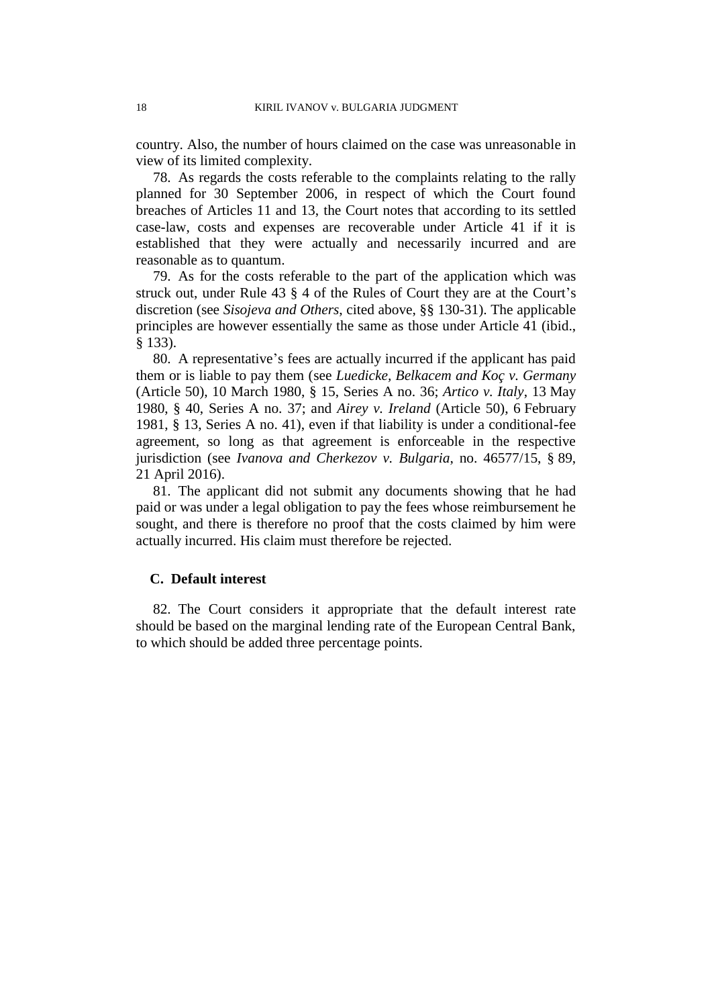country. Also, the number of hours claimed on the case was unreasonable in view of its limited complexity.

78. As regards the costs referable to the complaints relating to the rally planned for 30 September 2006, in respect of which the Court found breaches of Articles 11 and 13, the Court notes that according to its settled case-law, costs and expenses are recoverable under Article 41 if it is established that they were actually and necessarily incurred and are reasonable as to quantum.

79. As for the costs referable to the part of the application which was struck out, under Rule 43 § 4 of the Rules of Court they are at the Court's discretion (see *Sisojeva and Others*, cited above, §§ 130-31). The applicable principles are however essentially the same as those under Article 41 (ibid., § 133).

80. A representative's fees are actually incurred if the applicant has paid them or is liable to pay them (see *Luedicke, Belkacem and Koç v. Germany* (Article 50), 10 March 1980, § 15, Series A no. 36; *Artico v. Italy*, 13 May 1980, § 40, Series A no. 37; and *Airey v. Ireland* (Article 50), 6 February 1981, § 13, Series A no. 41), even if that liability is under a conditional-fee agreement, so long as that agreement is enforceable in the respective jurisdiction (see *Ivanova and Cherkezov v. Bulgaria*, no. 46577/15, § 89, 21 April 2016).

81. The applicant did not submit any documents showing that he had paid or was under a legal obligation to pay the fees whose reimbursement he sought, and there is therefore no proof that the costs claimed by him were actually incurred. His claim must therefore be rejected.

## **C. Default interest**

82. The Court considers it appropriate that the default interest rate should be based on the marginal lending rate of the European Central Bank, to which should be added three percentage points.